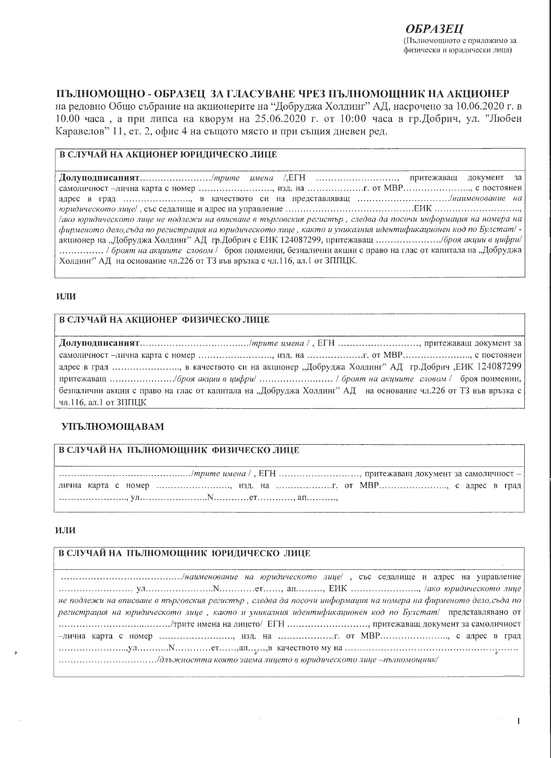# ПЪЛНОМОЩНО - ОБРАЗЕЦ ЗА ГЛАСУВАНЕ ЧРЕЗ ПЪЛНОМОЩНИК НА АКЦИОНЕР

на редовно Общо събрание на акционерите на "Добруджа Холдинг" АД, насрочено за 10.06.2020 г. в 10.00 часа, а при липса на кворум на 25.06.2020 г. от 10:00 часа в гр.Добрич, ул. "Любен Каравелов" 11, ет. 2, офис 4 на същото място и при същия дневен ред.

# В СЛУЧАЙ НА АКЦИОНЕР ЮРИДИЧЕСКО ЛИЦЕ

Долуподписаният............................/*mpume имена /,*EГН .........................., притежаващ документ за самоличност -лична карта с номер ........................., изд. на ........................ от МВР............................. с постоянен адрес в град ......................, в качеството си на представляващ ................................./наименование на дако юридическото лице не подлежи на вписване в търговския регистър, следва да посочи информация на номера на фирменото дело, съда по регистрация на юридическото лице, както и уникалния идентификационен код по Булстат/ -................ / броят на акишите словом / броя поименни, безналични акции с право на глас от капитала на "Добруджа Холдинг" АД на основание чл.226 от ТЗ във връзка с чл.116, ал.1 от ЗППЦК.

#### ИЛИ

# В СЛУЧАЙ НА АКЦИОНЕР ФИЗИЧЕСКО ЛИЦЕ

самоличност -лична карта с номер ........................., изд. на ....................... от МВР........................., с постоянен адрес в град ........................, в качеството си на акционер "Добруджа Холдинг" АД гр.Добрич ,ЕИК 124087299 безналични акции с право на глас от капитала на "Добруджа Холдинг" АД на основание чл.226 от ТЗ във връзка с чл.116, ал.1 от ЗППЦК

### **УПЪЛНОМОЩАВАМ**

### В СЛУЧАЙ НА ПЪЛНОМОЩНИК ФИЗИЧЕСКО ЛИЦЕ

лична карта с номер ........................, изд. на ......................... от МВР........................... с адрес в град 

### ИЛИ

### В СЛУЧАЙ НА ПЪЛНОМОЩНИК ЮРИДИЧЕСКО ЛИЦЕ

не подлежи на вписване в търговския регистър, следва да посочи информация на номера на фирменото дело, съда по регистрация на юридическото лице, както и уникалния идентификационен код по Булстат/ представлявано от -лична карта с номер ........................, изд. на ......................... от MBP........................ с адрес в град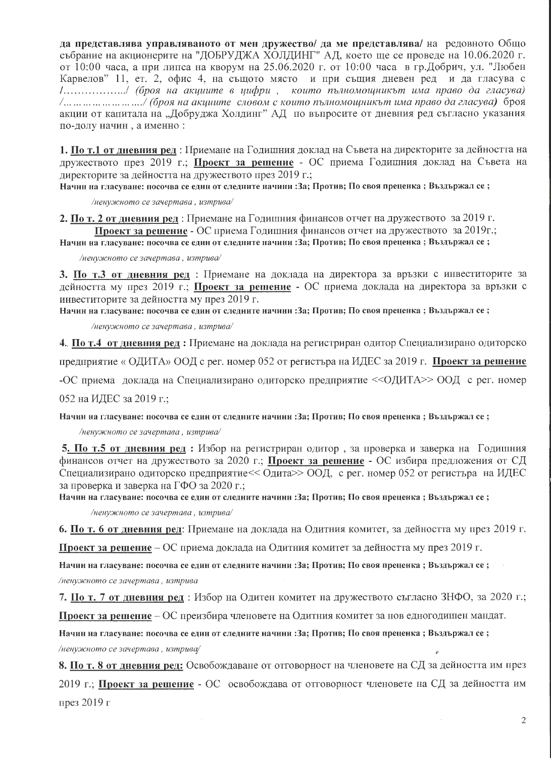да представлява управляваното от мен дружество/ да ме представлява/ на редовното Общо събрание на акционерите на "ДОБРУДЖА ХОЛДИНГ" АД, което ще се проведе на 10.06.2020 г. от 10:00 часа, а при липса на кворум на 25.06.2020 г. от 10:00 часа в гр.Добрич, ул. "Любен Карвелов" 11, ет. 2, офис 4, на същото място и при същия дневен ред и да гласува с 1..................../ (броя на акциите в цифри, които пълномощникът има право да гласува) /... ... ... ... ... ... ... ./ (броя на акциите словом с които пълномощникът има право да гласува) броя акции от капитала на "Добруджа Холдинг" АД по въпросите от дневния ред съгласно указания по-долу начин, а именно:

1. По т.1 от дневния ред: Приемане на Годишния доклад на Съвета на директорите за дейността на дружеството през 2019 г.; Проект за решение - ОС приема Годишния доклад на Съвета на директорите за дейността на дружеството през 2019 г.;

Начин на гласуване: посочва се един от следните начини : За; Против; По своя преценка ; Въздържал се ;

/ненужното се зачертава, изтрива/

2. По т. 2 от дневния ред: Приемане на Годишния финансов отчет на дружеството за 2019 г. Проект за решение - ОС приема Годишния финансов отчет на дружеството за 2019г.;

Начин на гласуване: посочва се един от следните начини : За; Против; По своя преценка ; Въздържал се ;

/ненужното се зачертава, изтрива/

3. По т.3 от дневния ред : Приемане на доклада на директора за връзки с инвеститорите за дейността му през 2019 г.; Проект за решение - ОС приема доклада на директора за връзки с инвеститорите за дейността му през 2019 г.

Начин на гласуване: посочва се един от следните начини : За; Против; По своя преценка; Въздържал се;

/ненужното се зачертава, изтрива/

4. По т.4 от дневния ред: Приемане на доклада на регистриран одитор Специализирано одиторско

предприятие «ОДИТА» ООД с рег. номер 052 от регистъра на ИДЕС за 2019 г. Проект за решение

-ОС приема доклада на Специализирано одиторско предприятие << ОДИТА>> ООД с рег. номер

052 на ИДЕС за 2019 г.;

Начин на гласуване: посочва се един от следните начини : За; Против; По своя преценка ; Въздържал се ;

/ненужното се зачертава, изтрива/

5. По т.5 от дневния ред : Избор на регистриран одитор, за проверка и заверка на Годишния финансов отчет на дружеството за 2020 г.; Проект за решение - ОС избира предложения от СД Специализирано одиторско предприятие<< Одита>> ООД, с рег. номер 052 от регистъра на ИДЕС за проверка и заверка на ГФО за 2020 г.:

Начин на гласуване: посочва се един от следните начини : За; Против; По своя преценка ; Въздържал се ;

/ненужното се зачертава, изтрива/

6. По т. 6 от дневния ред: Приемане на доклада на Одитния комитет, за дейността му през 2019 г.

Проект за решение – ОС приема доклада на Одитния комитет за дейността му през 2019 г.

Начин на гласуване: посочва се един от следните начини : За; Против; По своя преценка ; Въздържал се ; /ненужното се зачертава, изтрива

7. По т. 7 от дневния ред : Избор на Одитен комитет на дружеството съгласно ЗНФО, за 2020 г.;

Проект за решение – ОС преизбира членовете на Одитния комитет за нов едногодишен мандат.

Начин на гласуване: посочва се един от следните начини : За; Против; По своя преценка ; Въздържал се ;

/ненужното се зачертава, изтрива/

8. По т. 8 от дневния ред: Освобождаване от отговорност на членовете на СД за дейността им през 2019 г.; Проект за решение - ОС освобождава от отговорност членовете на СД за дейността им през 2019 г

 $\mathcal{D}$ 

 $\overline{\phantom{a}}$